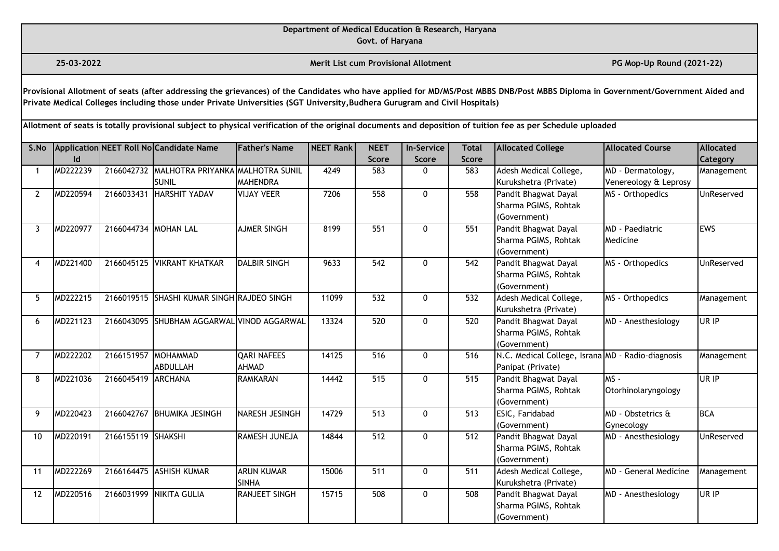**Govt. of Haryana**

**25-03-2022 Merit List cum Provisional Allotment PG Mop-Up Round (2021-22)** 

**Provisional Allotment of seats (after addressing the grievances) of the Candidates who have applied for MD/MS/Post MBBS DNB/Post MBBS Diploma in Government/Government Aided and Private Medical Colleges including those under Private Universities (SGT University,Budhera Gurugram and Civil Hospitals)** 

| S.No           |          |                      | Application NEET Roll No Candidate Name     | <b>Father's Name</b> | <b>NEET Rank</b> | <b>NEET</b>  | <b>In-Service</b> | <b>Total</b> | <b>Allocated College</b>                          | <b>Allocated Course</b>      | <b>Allocated</b> |
|----------------|----------|----------------------|---------------------------------------------|----------------------|------------------|--------------|-------------------|--------------|---------------------------------------------------|------------------------------|------------------|
|                | ld       |                      |                                             |                      |                  | <b>Score</b> | <b>Score</b>      | <b>Score</b> |                                                   |                              | Category         |
|                | MD222239 |                      | 2166042732 MALHOTRA PRIYANKA MALHOTRA SUNIL |                      | 4249             | 583          | $\mathbf{0}$      | 583          | Adesh Medical College,                            | MD - Dermatology,            | Management       |
|                |          |                      | SUNIL                                       | <b>MAHENDRA</b>      |                  |              |                   |              | Kurukshetra (Private)                             | Venereology & Leprosy        |                  |
| $\mathbf{2}$   | MD220594 | 2166033431           | HARSHIT YADAV                               | <b>VIJAY VEER</b>    | 7206             | 558          | $\mathbf{0}$      | 558          | Pandit Bhagwat Dayal                              | MS - Orthopedics             | UnReserved       |
|                |          |                      |                                             |                      |                  |              |                   |              | Sharma PGIMS, Rohtak                              |                              |                  |
|                |          |                      |                                             |                      |                  |              |                   |              | (Government)                                      |                              |                  |
| 3              | MD220977 | 2166044734 MOHAN LAL |                                             | <b>AJMER SINGH</b>   | 8199             | 551          | $\Omega$          | 551          | Pandit Bhagwat Dayal                              | <b>MD</b> - Paediatric       | <b>EWS</b>       |
|                |          |                      |                                             |                      |                  |              |                   |              | Sharma PGIMS, Rohtak                              | Medicine                     |                  |
|                |          |                      |                                             |                      |                  |              |                   |              | (Government)                                      |                              |                  |
| 4              | MD221400 |                      | 2166045125 VIKRANT KHATKAR                  | <b>DALBIR SINGH</b>  | 9633             | 542          | 0                 | 542          | Pandit Bhagwat Dayal                              | MS - Orthopedics             | UnReserved       |
|                |          |                      |                                             |                      |                  |              |                   |              | Sharma PGIMS, Rohtak                              |                              |                  |
|                |          |                      |                                             |                      |                  |              |                   |              | (Government)                                      |                              |                  |
| 5              | MD222215 |                      | 2166019515 SHASHI KUMAR SINGH RAJDEO SINGH  |                      | 11099            | 532          | 0                 | 532          | Adesh Medical College,                            | MS - Orthopedics             | Management       |
|                |          |                      |                                             |                      |                  |              |                   |              | Kurukshetra (Private)                             |                              |                  |
| 6              | MD221123 |                      | 2166043095 SHUBHAM AGGARWAL VINOD AGGARWAL  |                      | 13324            | 520          | $\mathbf{0}$      | 520          | Pandit Bhagwat Dayal                              | MD - Anesthesiology          | UR IP            |
|                |          |                      |                                             |                      |                  |              |                   |              | Sharma PGIMS, Rohtak                              |                              |                  |
|                |          |                      |                                             |                      |                  |              |                   |              | (Government)                                      |                              |                  |
| $\overline{7}$ | MD222202 | 2166151957           | <b>MOHAMMAD</b>                             | <b>QARI NAFEES</b>   | 14125            | 516          | 0                 | 516          | N.C. Medical College, Israna MD - Radio-diagnosis |                              | Management       |
|                |          |                      | ABDULLAH                                    | AHMAD                |                  |              |                   |              | Panipat (Private)                                 |                              |                  |
| 8              | MD221036 | 2166045419           | <b>ARCHANA</b>                              | <b>RAMKARAN</b>      | 14442            | 515          | $\mathbf{0}$      | 515          | Pandit Bhagwat Dayal                              | $MS -$                       | UR IP            |
|                |          |                      |                                             |                      |                  |              |                   |              | Sharma PGIMS, Rohtak                              | Otorhinolaryngology          |                  |
|                |          |                      |                                             |                      |                  |              |                   |              | (Government)                                      |                              |                  |
| 9              | MD220423 |                      | 2166042767 BHUMIKA JESINGH                  | NARESH JESINGH       | 14729            | 513          | $\mathbf{0}$      | 513          | ESIC, Faridabad                                   | MD - Obstetrics &            | <b>BCA</b>       |
|                |          |                      |                                             |                      |                  |              |                   |              | (Government)                                      | Gynecology                   |                  |
| 10             | MD220191 | 2166155119 SHAKSHI   |                                             | RAMESH JUNEJA        | 14844            | 512          | 0                 | 512          | Pandit Bhagwat Dayal                              | MD - Anesthesiology          | UnReserved       |
|                |          |                      |                                             |                      |                  |              |                   |              | Sharma PGIMS, Rohtak                              |                              |                  |
|                |          |                      |                                             |                      |                  |              |                   |              | (Government)                                      |                              |                  |
| 11             | MD222269 |                      | 2166164475 ASHISH KUMAR                     | <b>ARUN KUMAR</b>    | 15006            | 511          | 0                 | 511          | Adesh Medical College,                            | <b>MD - General Medicine</b> | Management       |
|                |          |                      |                                             | <b>SINHA</b>         |                  |              |                   |              | Kurukshetra (Private)                             |                              |                  |
| 12             | MD220516 |                      | 2166031999 NIKITA GULIA                     | <b>RANJEET SINGH</b> | 15715            | 508          | $\mathbf{0}$      | 508          | Pandit Bhagwat Dayal                              | MD - Anesthesiology          | UR IP            |
|                |          |                      |                                             |                      |                  |              |                   |              | Sharma PGIMS, Rohtak                              |                              |                  |
|                |          |                      |                                             |                      |                  |              |                   |              | (Government)                                      |                              |                  |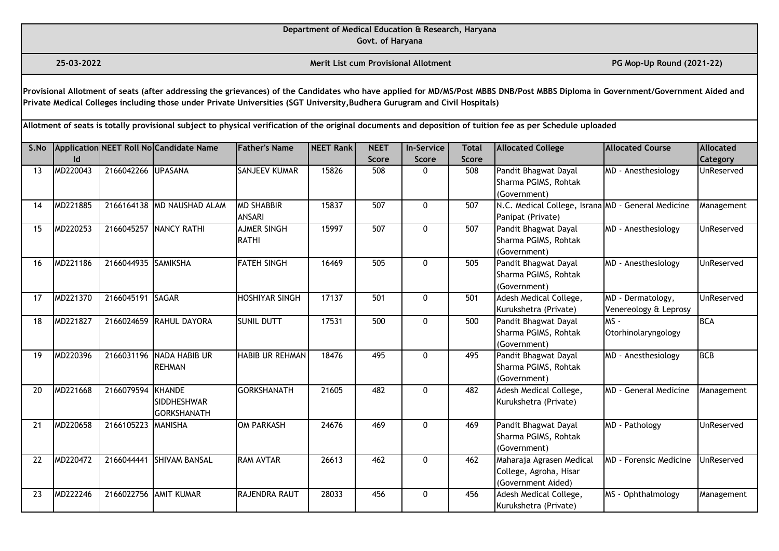**Govt. of Haryana**

**25-03-2022 Merit List cum Provisional Allotment PG Mop-Up Round (2021-22)** 

**Provisional Allotment of seats (after addressing the grievances) of the Candidates who have applied for MD/MS/Post MBBS DNB/Post MBBS Diploma in Government/Government Aided and Private Medical Colleges including those under Private Universities (SGT University,Budhera Gurugram and Civil Hospitals)** 

| S.No |          |                     | Application NEET Roll No Candidate Name            | <b>Father's Name</b>               | <b>NEET Rank</b> | <b>NEET</b>  | <b>In-Service</b> | <b>Total</b> | <b>Allocated College</b>                                                 | <b>Allocated Course</b>                    | <b>Allocated</b> |
|------|----------|---------------------|----------------------------------------------------|------------------------------------|------------------|--------------|-------------------|--------------|--------------------------------------------------------------------------|--------------------------------------------|------------------|
|      | ld       |                     |                                                    |                                    |                  | <b>Score</b> | <b>Score</b>      | <b>Score</b> |                                                                          |                                            | Category         |
| 13   | MD220043 | 2166042266 UPASANA  |                                                    | <b>SANJEEV KUMAR</b>               | 15826            | 508          | $\Omega$          | 508          | Pandit Bhagwat Dayal<br>Sharma PGIMS, Rohtak<br>(Government)             | MD - Anesthesiology                        | UnReserved       |
| 14   | MD221885 |                     | 2166164138 MD NAUSHAD ALAM                         | <b>MD SHABBIR</b><br><b>ANSARI</b> | 15837            | 507          | 0                 | 507          | N.C. Medical College, Israna MD - General Medicine<br>Panipat (Private)  |                                            | Management       |
| 15   | MD220253 |                     | 2166045257 NANCY RATHI                             | <b>AJMER SINGH</b><br><b>RATHI</b> | 15997            | 507          | $\mathbf{0}$      | 507          | Pandit Bhagwat Dayal<br>Sharma PGIMS, Rohtak<br>(Government)             | MD - Anesthesiology                        | UnReserved       |
| 16   | MD221186 | 2166044935 SAMIKSHA |                                                    | <b>FATEH SINGH</b>                 | 16469            | 505          | $\mathbf{0}$      | 505          | Pandit Bhagwat Dayal<br>Sharma PGIMS, Rohtak<br>(Government)             | MD - Anesthesiology                        | UnReserved       |
| 17   | MD221370 | 2166045191 SAGAR    |                                                    | <b>HOSHIYAR SINGH</b>              | 17137            | 501          | 0                 | 501          | Adesh Medical College,<br>Kurukshetra (Private)                          | MD - Dermatology,<br>Venereology & Leprosy | UnReserved       |
| 18   | MD221827 |                     | 2166024659 RAHUL DAYORA                            | <b>SUNIL DUTT</b>                  | 17531            | 500          | $\mathbf{0}$      | 500          | Pandit Bhagwat Dayal<br>Sharma PGIMS, Rohtak<br>(Government)             | $MS -$<br>Otorhinolaryngology              | <b>BCA</b>       |
| 19   | MD220396 | 2166031196          | NADA HABIB UR<br><b>REHMAN</b>                     | <b>HABIB UR REHMAN</b>             | 18476            | 495          | $\mathbf{0}$      | 495          | Pandit Bhagwat Dayal<br>Sharma PGIMS, Rohtak<br>(Government)             | MD - Anesthesiology                        | <b>BCB</b>       |
| 20   | MD221668 | 2166079594          | KHANDE<br><b>SIDDHESHWAR</b><br><b>GORKSHANATH</b> | <b>GORKSHANATH</b>                 | 21605            | 482          | $\mathbf{0}$      | 482          | Adesh Medical College,<br>Kurukshetra (Private)                          | <b>MD</b> - General Medicine               | Management       |
| 21   | MD220658 | 2166105223          | <b>MANISHA</b>                                     | <b>OM PARKASH</b>                  | 24676            | 469          | $\mathbf{0}$      | 469          | Pandit Bhagwat Dayal<br>Sharma PGIMS, Rohtak<br>(Government)             | MD - Pathology                             | UnReserved       |
| 22   | MD220472 | 2166044441          | <b>SHIVAM BANSAL</b>                               | <b>RAM AVTAR</b>                   | 26613            | 462          | $\mathbf{0}$      | 462          | Maharaja Agrasen Medical<br>College, Agroha, Hisar<br>(Government Aided) | <b>MD</b> - Forensic Medicine              | UnReserved       |
| 23   | MD222246 |                     | 2166022756 AMIT KUMAR                              | RAJENDRA RAUT                      | 28033            | 456          | 0                 | 456          | Adesh Medical College,<br>Kurukshetra (Private)                          | MS - Ophthalmology                         | Management       |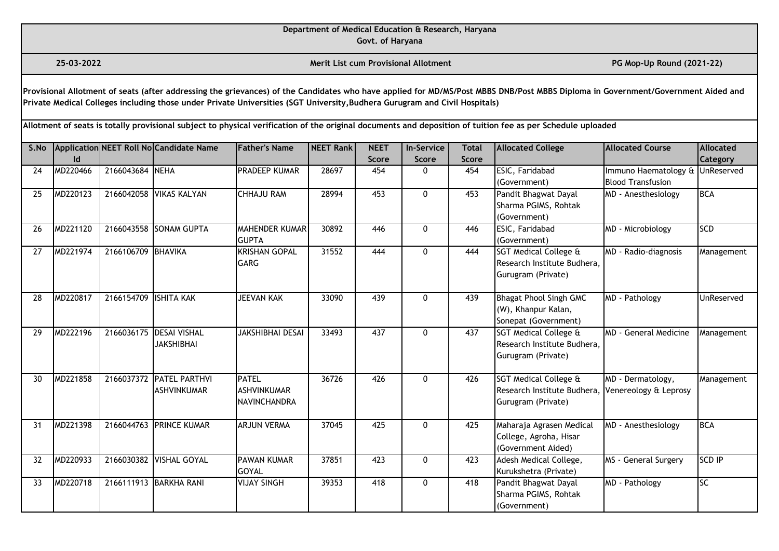**Govt. of Haryana**

**25-03-2022 Merit List cum Provisional Allotment PG Mop-Up Round (2021-22)** 

**Provisional Allotment of seats (after addressing the grievances) of the Candidates who have applied for MD/MS/Post MBBS DNB/Post MBBS Diploma in Government/Government Aided and Private Medical Colleges including those under Private Universities (SGT University,Budhera Gurugram and Civil Hospitals)** 

| S.No |          |                       | Application NEET Roll No Candidate Name | <b>Father's Name</b>    | <b>NEET Rank</b> | <b>NEET</b>  | <b>In-Service</b> | <b>Total</b> | <b>Allocated College</b>         | <b>Allocated Course</b>                  | <b>Allocated</b> |
|------|----------|-----------------------|-----------------------------------------|-------------------------|------------------|--------------|-------------------|--------------|----------------------------------|------------------------------------------|------------------|
|      | ld       |                       |                                         |                         |                  | <b>Score</b> | <b>Score</b>      | <b>Score</b> |                                  |                                          | Category         |
| 24   | MD220466 | 2166043684 NEHA       |                                         | <b>PRADEEP KUMAR</b>    | 28697            | 454          | $\mathbf{0}$      | 454          | ESIC, Faridabad                  | Immuno Haematology &                     | UnReserved       |
|      |          |                       |                                         |                         |                  |              |                   |              | (Government)                     | <b>Blood Transfusion</b>                 |                  |
| 25   | MD220123 |                       | 2166042058 VIKAS KALYAN                 | <b>CHHAJU RAM</b>       | 28994            | 453          | $\mathbf{0}$      | 453          | Pandit Bhagwat Dayal             | MD - Anesthesiology                      | <b>BCA</b>       |
|      |          |                       |                                         |                         |                  |              |                   |              | Sharma PGIMS, Rohtak             |                                          |                  |
|      |          |                       |                                         |                         |                  |              |                   |              | (Government)                     |                                          |                  |
| 26   | MD221120 |                       | 2166043558 SONAM GUPTA                  | <b>MAHENDER KUMAR</b>   | 30892            | 446          | $\mathbf{0}$      | 446          | ESIC, Faridabad                  | MD - Microbiology                        | SCD              |
|      |          |                       |                                         | <b>GUPTA</b>            |                  |              |                   |              | (Government)                     |                                          |                  |
| 27   | MD221974 | 2166106709 BHAVIKA    |                                         | <b>KRISHAN GOPAL</b>    | 31552            | 444          | $\mathbf{0}$      | 444          | SGT Medical College &            | $\overline{\text{MD}}$ - Radio-diagnosis | Management       |
|      |          |                       |                                         | <b>GARG</b>             |                  |              |                   |              | Research Institute Budhera.      |                                          |                  |
|      |          |                       |                                         |                         |                  |              |                   |              | Gurugram (Private)               |                                          |                  |
| 28   | MD220817 | 2166154709 ISHITA KAK |                                         | <b>JEEVAN KAK</b>       | 33090            | 439          | $\mathbf{0}$      | 439          | <b>Bhagat Phool Singh GMC</b>    | MD - Pathology                           | UnReserved       |
|      |          |                       |                                         |                         |                  |              |                   |              | (W), Khanpur Kalan,              |                                          |                  |
|      |          |                       |                                         |                         |                  |              |                   |              | Sonepat (Government)             |                                          |                  |
| 29   | MD222196 | 2166036175            | <b>IDESAI VISHAL</b>                    | <b>JAKSHIBHAI DESAI</b> | 33493            | 437          | $\mathbf{0}$      | 437          | <b>SGT Medical College &amp;</b> | MD - General Medicine                    | Management       |
|      |          |                       | <b>JAKSHIBHAI</b>                       |                         |                  |              |                   |              | Research Institute Budhera,      |                                          |                  |
|      |          |                       |                                         |                         |                  |              |                   |              | Gurugram (Private)               |                                          |                  |
|      |          |                       |                                         |                         |                  |              |                   |              |                                  |                                          |                  |
| 30   | MD221858 | 2166037372            | <b>PATEL PARTHVI</b>                    | <b>PATEL</b>            | 36726            | 426          | $\mathbf{0}$      | 426          | SGT Medical College &            | MD - Dermatology,                        | Management       |
|      |          |                       | <b>ASHVINKUMAR</b>                      | <b>ASHVINKUMAR</b>      |                  |              |                   |              | Research Institute Budhera,      | Venereology & Leprosy                    |                  |
|      |          |                       |                                         | <b>NAVINCHANDRA</b>     |                  |              |                   |              | Gurugram (Private)               |                                          |                  |
|      |          |                       |                                         |                         |                  |              |                   |              |                                  |                                          |                  |
| 31   | MD221398 |                       | 2166044763 PRINCE KUMAR                 | <b>ARJUN VERMA</b>      | 37045            | 425          | $\mathbf{0}$      | 425          | Maharaja Agrasen Medical         | MD - Anesthesiology                      | <b>BCA</b>       |
|      |          |                       |                                         |                         |                  |              |                   |              | College, Agroha, Hisar           |                                          |                  |
|      |          |                       |                                         |                         |                  |              |                   |              | (Government Aided)               |                                          |                  |
| 32   | MD220933 |                       | 2166030382 VISHAL GOYAL                 | <b>PAWAN KUMAR</b>      | 37851            | 423          | 0                 | 423          | Adesh Medical College,           | MS - General Surgery                     | <b>SCD IP</b>    |
|      |          |                       |                                         | <b>GOYAL</b>            |                  |              |                   |              | Kurukshetra (Private)            |                                          |                  |
| 33   | MD220718 |                       | 2166111913 BARKHA RANI                  | <b>VIJAY SINGH</b>      | 39353            | 418          | $\mathbf{0}$      | 418          | Pandit Bhagwat Dayal             | MD - Pathology                           | $\overline{SC}$  |
|      |          |                       |                                         |                         |                  |              |                   |              | Sharma PGIMS, Rohtak             |                                          |                  |
|      |          |                       |                                         |                         |                  |              |                   |              | (Government)                     |                                          |                  |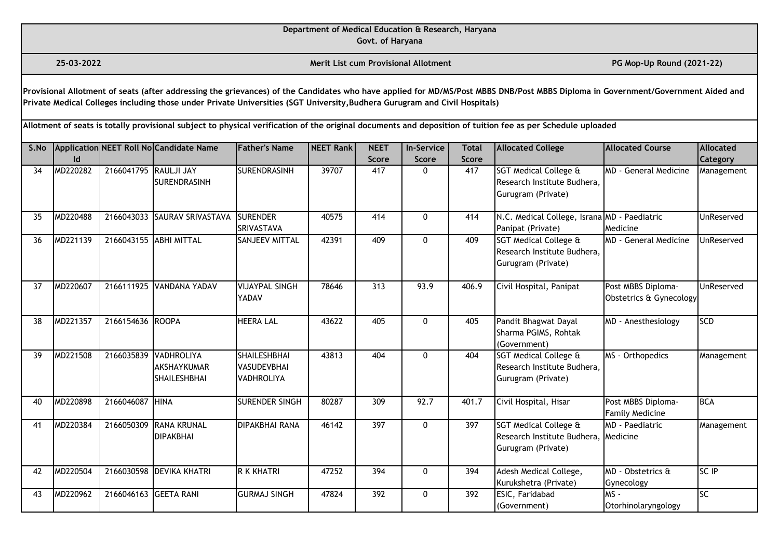**Govt. of Haryana**

**25-03-2022 Merit List cum Provisional Allotment PG Mop-Up Round (2021-22)** 

**Provisional Allotment of seats (after addressing the grievances) of the Candidates who have applied for MD/MS/Post MBBS DNB/Post MBBS Diploma in Government/Government Aided and Private Medical Colleges including those under Private Universities (SGT University,Budhera Gurugram and Civil Hospitals)** 

| S.No |          |                        | Application NEET Roll No Candidate Name                            | <b>Father's Name</b>                                           | <b>NEET Rank</b> | <b>NEET</b>      | <b>In-Service</b> | <b>Total</b> | <b>Allocated College</b>                                                   | Allocated Course                              | Allocated              |
|------|----------|------------------------|--------------------------------------------------------------------|----------------------------------------------------------------|------------------|------------------|-------------------|--------------|----------------------------------------------------------------------------|-----------------------------------------------|------------------------|
|      | ld.      |                        |                                                                    |                                                                |                  | <b>Score</b>     | <b>Score</b>      | <b>Score</b> |                                                                            |                                               | Category               |
| 34   | MD220282 | 2166041795 RAULJI JAY  | <b>SURENDRASINH</b>                                                | <b>SURENDRASINH</b>                                            | 39707            | 417              | 0                 | 417          | SGT Medical College &<br>Research Institute Budhera,<br>Gurugram (Private) | MD - General Medicine                         | Management             |
| 35   | MD220488 | 2166043033             | SAURAV SRIVASTAVA                                                  | <b>SURENDER</b><br><b>SRIVASTAVA</b>                           | 40575            | 414              | 0                 | 414          | N.C. Medical College, Israna MD - Paediatric<br>Panipat (Private)          | Medicine                                      | UnReserved             |
| 36   | MD221139 | 2166043155 ABHI MITTAL |                                                                    | <b>SANJEEV MITTAL</b>                                          | 42391            | 409              | $\Omega$          | 409          | SGT Medical College &<br>Research Institute Budhera,<br>Gurugram (Private) | MD - General Medicine                         | UnReserved             |
| 37   | MD220607 |                        | 2166111925 VANDANA YADAV                                           | <b>VIJAYPAL SINGH</b><br><b>YADAV</b>                          | 78646            | 313              | 93.9              | 406.9        | Civil Hospital, Panipat                                                    | Post MBBS Diploma-<br>Obstetrics & Gynecology | UnReserved             |
| 38   | MD221357 | 2166154636 ROOPA       |                                                                    | <b>HEERA LAL</b>                                               | 43622            | 405              | 0                 | 405          | Pandit Bhagwat Dayal<br>Sharma PGIMS, Rohtak<br>(Government)               | MD - Anesthesiology                           | <b>SCD</b>             |
| 39   | MD221508 |                        | 2166035839 VADHROLIYA<br><b>AKSHAYKUMAR</b><br><b>SHAILESHBHAI</b> | <b>SHAILESHBHAI</b><br><b>VASUDEVBHAI</b><br><b>VADHROLIYA</b> | 43813            | 404              | 0                 | 404          | SGT Medical College &<br>Research Institute Budhera,<br>Gurugram (Private) | MS - Orthopedics                              | Management             |
| 40   | MD220898 | 2166046087 HINA        |                                                                    | SURENDER SINGH                                                 | 80287            | 309              | 92.7              | 401.7        | Civil Hospital, Hisar                                                      | Post MBBS Diploma-<br><b>Family Medicine</b>  | <b>BCA</b>             |
| 41   | MD220384 | 2166050309             | <b>RANA KRUNAL</b><br><b>DIPAKBHAI</b>                             | <b>DIPAKBHAI RANA</b>                                          | 46142            | $\overline{397}$ | $\mathbf{0}$      | 397          | SGT Medical College &<br>Research Institute Budhera,<br>Gurugram (Private) | <b>IMD - Paediatric</b><br>Medicine           | Management             |
| 42   | MD220504 |                        | 2166030598 DEVIKA KHATRI                                           | R K KHATRI                                                     | 47252            | 394              | 0                 | 394          | Adesh Medical College,<br>Kurukshetra (Private)                            | MD - Obstetrics &<br>Gynecology               | SC IP                  |
| 43   | MD220962 | 2166046163 GEETA RANI  |                                                                    | <b>GURMAJ SINGH</b>                                            | 47824            | 392              | 0                 | 392          | ESIC, Faridabad<br>(Government)                                            | lms -<br>Otorhinolaryngology                  | $\overline{\text{SC}}$ |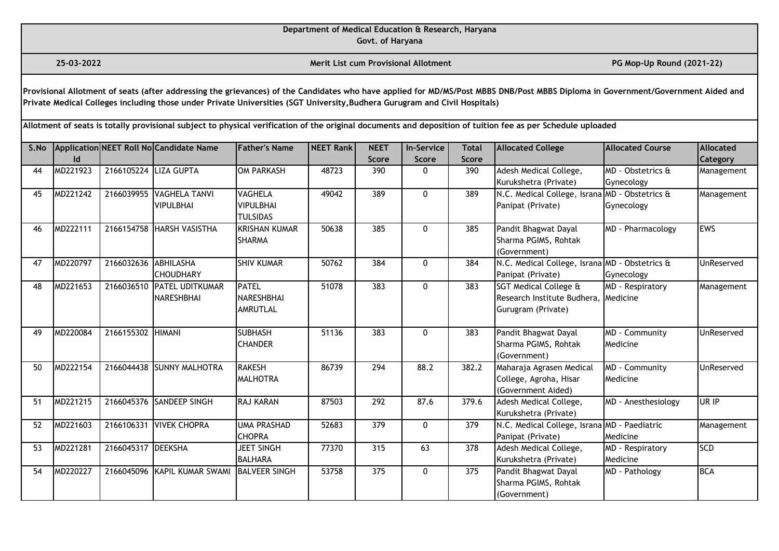**Govt. of Haryana**

**25-03-2022 Merit List cum Provisional Allotment PG Mop-Up Round (2021-22)** 

**Provisional Allotment of seats (after addressing the grievances) of the Candidates who have applied for MD/MS/Post MBBS DNB/Post MBBS Diploma in Government/Government Aided and Private Medical Colleges including those under Private Universities (SGT University,Budhera Gurugram and Civil Hospitals)** 

| S.No |          |                       | Application NEET Roll No Candidate Name | <b>Father's Name</b> | <b>NEET Rank</b> | <b>NEET</b>  | <b>In-Service</b> | <b>Total</b> | <b>Allocated College</b>                       | <b>Allocated Course</b> | <b>Allocated</b> |
|------|----------|-----------------------|-----------------------------------------|----------------------|------------------|--------------|-------------------|--------------|------------------------------------------------|-------------------------|------------------|
|      | Id       |                       |                                         |                      |                  | <b>Score</b> | <b>Score</b>      | <b>Score</b> |                                                |                         | <b>Category</b>  |
| 44   | MD221923 | 2166105224 LIZA GUPTA |                                         | <b>OM PARKASH</b>    | 48723            | 390          | $\mathbf{0}$      | 390          | Adesh Medical College,                         | MD - Obstetrics &       | Management       |
|      |          |                       |                                         |                      |                  |              |                   |              | Kurukshetra (Private)                          | Gynecology              |                  |
| 45   | MD221242 |                       | 2166039955 VAGHELA TANVI                | <b>VAGHELA</b>       | 49042            | 389          | $\mathbf{0}$      | 389          | N.C. Medical College, Israna MD - Obstetrics & |                         | Management       |
|      |          |                       | <b>VIPULBHAI</b>                        | <b>VIPULBHAI</b>     |                  |              |                   |              | Panipat (Private)                              | Gynecology              |                  |
|      |          |                       |                                         | <b>TULSIDAS</b>      |                  |              |                   |              |                                                |                         |                  |
| 46   | MD222111 |                       | 2166154758 HARSH VASISTHA               | <b>KRISHAN KUMAR</b> | 50638            | 385          | $\mathbf{0}$      | 385          | Pandit Bhagwat Dayal                           | MD - Pharmacology       | <b>EWS</b>       |
|      |          |                       |                                         | <b>SHARMA</b>        |                  |              |                   |              | Sharma PGIMS, Rohtak                           |                         |                  |
|      |          |                       |                                         |                      |                  |              |                   |              | (Government)                                   |                         |                  |
| 47   | MD220797 | 2166032636            | ABHILASHA                               | <b>SHIV KUMAR</b>    | 50762            | 384          | $\mathbf{0}$      | 384          | N.C. Medical College, Israna MD - Obstetrics & |                         | UnReserved       |
|      |          |                       | <b>CHOUDHARY</b>                        |                      |                  |              |                   |              | Panipat (Private)                              | Gynecology              |                  |
| 48   | MD221653 |                       | 2166036510 PATEL UDITKUMAR              | <b>PATEL</b>         | 51078            | 383          | $\mathbf{0}$      | 383          | <b>SGT Medical College &amp;</b>               | MD - Respiratory        | Management       |
|      |          |                       | <b>I</b> NARESHBHAI                     | <b>NARESHBHAI</b>    |                  |              |                   |              | Research Institute Budhera, Medicine           |                         |                  |
|      |          |                       |                                         | <b>AMRUTLAL</b>      |                  |              |                   |              | Gurugram (Private)                             |                         |                  |
|      |          |                       |                                         |                      |                  |              |                   |              |                                                |                         |                  |
| 49   | MD220084 | 2166155302 HIMANI     |                                         | <b>SUBHASH</b>       | 51136            | 383          | $\Omega$          | 383          | Pandit Bhagwat Dayal                           | MD - Community          | UnReserved       |
|      |          |                       |                                         | <b>CHANDER</b>       |                  |              |                   |              | Sharma PGIMS, Rohtak                           | Medicine                |                  |
|      |          |                       |                                         |                      |                  |              |                   |              | (Government)                                   |                         |                  |
| 50   | MD222154 |                       | 2166044438 SUNNY MALHOTRA               | <b>RAKESH</b>        | 86739            | 294          | 88.2              | 382.2        | Maharaja Agrasen Medical                       | MD - Community          | UnReserved       |
|      |          |                       |                                         | <b>MALHOTRA</b>      |                  |              |                   |              | College, Agroha, Hisar                         | Medicine                |                  |
|      |          |                       |                                         |                      |                  |              |                   |              | (Government Aided)                             |                         |                  |
| 51   | MD221215 |                       | 2166045376 SANDEEP SINGH                | <b>RAJ KARAN</b>     | 87503            | 292          | 87.6              | 379.6        | Adesh Medical College,                         | MD - Anesthesiology     | UR IP            |
|      |          |                       |                                         |                      |                  |              |                   |              | Kurukshetra (Private)                          |                         |                  |
| 52   | MD221603 |                       | 2166106331 VIVEK CHOPRA                 | <b>UMA PRASHAD</b>   | 52683            | 379          | 0                 | 379          | N.C. Medical College, Israna MD - Paediatric   |                         | Management       |
|      |          |                       |                                         | <b>CHOPRA</b>        |                  |              |                   |              | Panipat (Private)                              | <b>Medicine</b>         |                  |
| 53   | MD221281 | 2166045317 DEEKSHA    |                                         | <b>JEET SINGH</b>    | 77370            | 315          | 63                | 378          | Adesh Medical College,                         | MD - Respiratory        | <b>SCD</b>       |
|      |          |                       |                                         | <b>BALHARA</b>       |                  |              |                   |              | Kurukshetra (Private)                          | Medicine                |                  |
| 54   | MD220227 |                       | 2166045096 KAPIL KUMAR SWAMI            | <b>BALVEER SINGH</b> | 53758            | 375          | $\mathbf{0}$      | 375          | Pandit Bhagwat Dayal                           | MD - Pathology          | <b>BCA</b>       |
|      |          |                       |                                         |                      |                  |              |                   |              | Sharma PGIMS, Rohtak                           |                         |                  |
|      |          |                       |                                         |                      |                  |              |                   |              | (Government)                                   |                         |                  |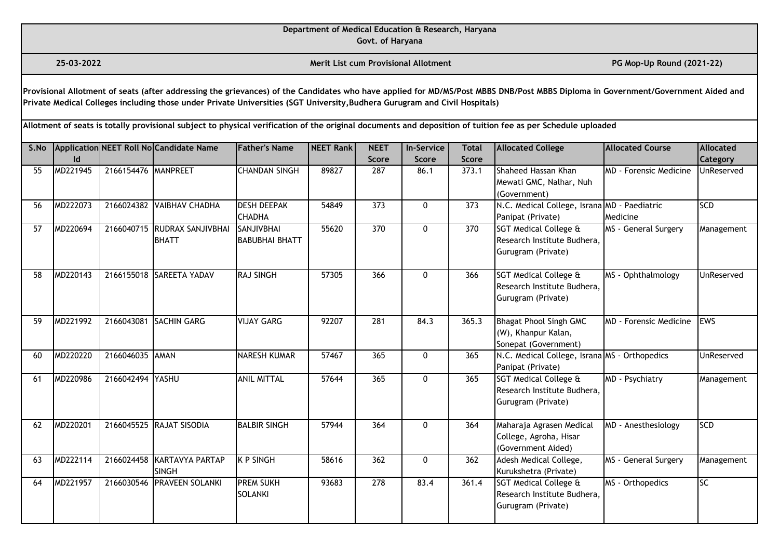**Govt. of Haryana**

**25-03-2022 Merit List cum Provisional Allotment PG Mop-Up Round (2021-22)** 

**Provisional Allotment of seats (after addressing the grievances) of the Candidates who have applied for MD/MS/Post MBBS DNB/Post MBBS Diploma in Government/Government Aided and Private Medical Colleges including those under Private Universities (SGT University,Budhera Gurugram and Civil Hospitals)** 

| S.No |          |                     | Application NEET Roll No Candidate Name | <b>Father's Name</b>  | <b>NEET Rank</b> | <b>NEET</b>  | <b>In-Service</b> | <b>Total</b> | <b>Allocated College</b>                      | <b>Allocated Course</b> | <b>Allocated</b> |
|------|----------|---------------------|-----------------------------------------|-----------------------|------------------|--------------|-------------------|--------------|-----------------------------------------------|-------------------------|------------------|
|      | ld       |                     |                                         |                       |                  | <b>Score</b> | <b>Score</b>      | <b>Score</b> |                                               |                         | Category         |
| 55   | MD221945 | 2166154476 MANPREET |                                         | <b>CHANDAN SINGH</b>  | 89827            | 287          | 86.1              | 373.1        | Shaheed Hassan Khan                           | MD - Forensic Medicine  | UnReserved       |
|      |          |                     |                                         |                       |                  |              |                   |              | Mewati GMC, Nalhar, Nuh                       |                         |                  |
|      |          |                     |                                         |                       |                  |              |                   |              | (Government)                                  |                         |                  |
| 56   | MD222073 |                     | 2166024382 VAIBHAV CHADHA               | <b>DESH DEEPAK</b>    | 54849            | 373          | 0                 | 373          | N.C. Medical College, Israna MD - Paediatric  |                         | <b>SCD</b>       |
|      |          |                     |                                         | <b>CHADHA</b>         |                  |              |                   |              | Panipat (Private)                             | Medicine                |                  |
| 57   | MD220694 |                     | 2166040715 RUDRAX SANJIVBHAI            | <b>SANJIVBHAI</b>     | 55620            | 370          | $\mathbf{0}$      | 370          | SGT Medical College &                         | MS - General Surgery    | Management       |
|      |          |                     | <b>BHATT</b>                            | <b>BABUBHAI BHATT</b> |                  |              |                   |              | Research Institute Budhera,                   |                         |                  |
|      |          |                     |                                         |                       |                  |              |                   |              | Gurugram (Private)                            |                         |                  |
| 58   | MD220143 |                     | 2166155018 SAREETA YADAV                | <b>RAJ SINGH</b>      | 57305            | 366          | $\mathbf{0}$      | 366          | SGT Medical College &                         | MS - Ophthalmology      | UnReserved       |
|      |          |                     |                                         |                       |                  |              |                   |              | Research Institute Budhera,                   |                         |                  |
|      |          |                     |                                         |                       |                  |              |                   |              | Gurugram (Private)                            |                         |                  |
|      |          |                     |                                         |                       |                  |              |                   |              |                                               |                         |                  |
| 59   | MD221992 | 2166043081          | <b>SACHIN GARG</b>                      | <b>VIJAY GARG</b>     | 92207            | 281          | 84.3              | 365.3        | <b>Bhagat Phool Singh GMC</b>                 | MD - Forensic Medicine  | <b>EWS</b>       |
|      |          |                     |                                         |                       |                  |              |                   |              | (W), Khanpur Kalan,                           |                         |                  |
|      |          |                     |                                         |                       |                  |              |                   |              | Sonepat (Government)                          |                         |                  |
| 60   | MD220220 | 2166046035 AMAN     |                                         | <b>NARESH KUMAR</b>   | 57467            | 365          | $\mathbf{0}$      | 365          | N.C. Medical College, Israna MS - Orthopedics |                         | UnReserved       |
|      |          |                     |                                         |                       |                  |              |                   |              | Panipat (Private)                             |                         |                  |
| 61   | MD220986 | 2166042494 YASHU    |                                         | <b>ANIL MITTAL</b>    | 57644            | 365          | 0                 | 365          | <b>SGT Medical College &amp;</b>              | MD - Psychiatry         | Management       |
|      |          |                     |                                         |                       |                  |              |                   |              | Research Institute Budhera,                   |                         |                  |
|      |          |                     |                                         |                       |                  |              |                   |              | Gurugram (Private)                            |                         |                  |
| 62   | MD220201 |                     | 2166045525 RAJAT SISODIA                | <b>BALBIR SINGH</b>   | 57944            | 364          | 0                 | 364          | Maharaja Agrasen Medical                      | MD - Anesthesiology     | <b>SCD</b>       |
|      |          |                     |                                         |                       |                  |              |                   |              | College, Agroha, Hisar                        |                         |                  |
|      |          |                     |                                         |                       |                  |              |                   |              | (Government Aided)                            |                         |                  |
| 63   | MD222114 |                     | 2166024458 KARTAVYA PARTAP              | <b>K P SINGH</b>      | 58616            | 362          | 0                 | 362          | Adesh Medical College,                        | MS - General Surgery    | Management       |
|      |          |                     | <b>SINGH</b>                            |                       |                  |              |                   |              | Kurukshetra (Private)                         |                         |                  |
| 64   | MD221957 | 2166030546          | <b>PRAVEEN SOLANKI</b>                  | <b>PREM SUKH</b>      | 93683            | 278          | 83.4              | 361.4        | SGT Medical College &                         | MS - Orthopedics        | $\overline{SC}$  |
|      |          |                     |                                         | <b>SOLANKI</b>        |                  |              |                   |              | Research Institute Budhera,                   |                         |                  |
|      |          |                     |                                         |                       |                  |              |                   |              | Gurugram (Private)                            |                         |                  |
|      |          |                     |                                         |                       |                  |              |                   |              |                                               |                         |                  |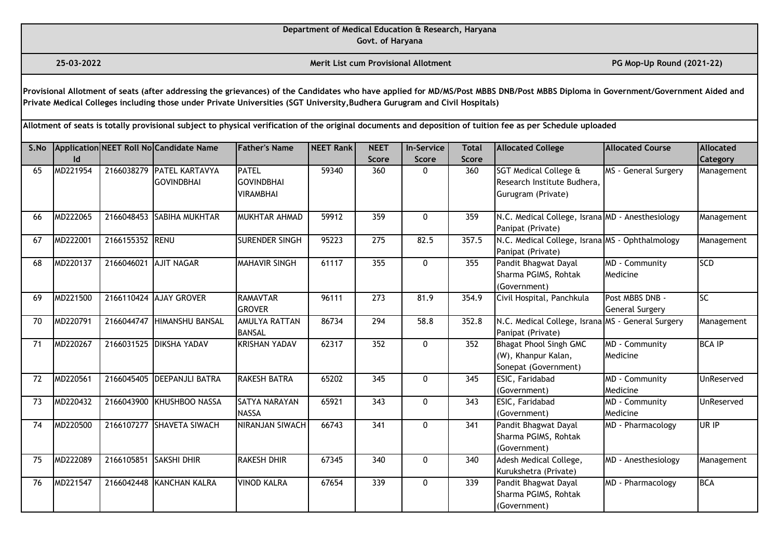**Govt. of Haryana**

**25-03-2022 Merit List cum Provisional Allotment PG Mop-Up Round (2021-22)** 

**Provisional Allotment of seats (after addressing the grievances) of the Candidates who have applied for MD/MS/Post MBBS DNB/Post MBBS Diploma in Government/Government Aided and Private Medical Colleges including those under Private Universities (SGT University,Budhera Gurugram and Civil Hospitals)** 

| S.No |          |            | Application NEET Roll No Candidate Name        | <b>Father's Name</b>                                  | <b>NEET Rank</b> | <b>NEET</b>      | <b>In-Service</b> | <b>Total</b> | <b>Allocated College</b>                                                              | Allocated Course                   | <b>Allocated</b> |
|------|----------|------------|------------------------------------------------|-------------------------------------------------------|------------------|------------------|-------------------|--------------|---------------------------------------------------------------------------------------|------------------------------------|------------------|
|      | Id       |            |                                                |                                                       |                  | <b>Score</b>     | <b>Score</b>      | <b>Score</b> |                                                                                       |                                    | Category         |
| 65   | MD221954 |            | 2166038279 PATEL KARTAVYA<br><b>GOVINDBHAI</b> | <b>PATEL</b><br><b>GOVINDBHAI</b><br><b>VIRAMBHAI</b> | 59340            | 360              | 0                 | 360          | <b>SGT Medical College &amp;</b><br>Research Institute Budhera,<br>Gurugram (Private) | MS - General Surgery               | Management       |
| 66   | MD222065 |            | 2166048453 SABIHA MUKHTAR                      | MUKHTAR AHMAD                                         | 59912            | 359              | $\mathbf{0}$      | 359          | N.C. Medical College, Israna MD - Anesthesiology<br>Panipat (Private)                 |                                    | Management       |
| 67   | MD222001 | 2166155352 | <b>IRENU</b>                                   | <b>SURENDER SINGH</b>                                 | 95223            | 275              | 82.5              | 357.5        | N.C. Medical College, Israna MS - Ophthalmology<br>Panipat (Private)                  |                                    | Management       |
| 68   | MD220137 | 2166046021 | <b>AJIT NAGAR</b>                              | <b>MAHAVIR SINGH</b>                                  | 61117            | 355              | 0                 | 355          | Pandit Bhagwat Dayal<br>Sharma PGIMS, Rohtak<br>(Government)                          | <b>MD</b> - Community<br>Medicine  | <b>SCD</b>       |
| 69   | MD221500 |            | 2166110424 AJAY GROVER                         | <b>RAMAVTAR</b><br><b>GROVER</b>                      | 96111            | 273              | 81.9              | 354.9        | Civil Hospital, Panchkula                                                             | Post MBBS DNB -<br>General Surgery | <b>SC</b>        |
| 70   | MD220791 | 2166044747 | HIMANSHU BANSAL                                | <b>AMULYA RATTAN</b><br><b>BANSAL</b>                 | 86734            | 294              | 58.8              | 352.8        | N.C. Medical College, Israna MS - General Surgery<br>Panipat (Private)                |                                    | Management       |
| 71   | MD220267 | 2166031525 | <b>DIKSHA YADAV</b>                            | <b>KRISHAN YADAV</b>                                  | 62317            | 352              | $\mathbf{0}$      | 352          | <b>Bhagat Phool Singh GMC</b><br>(W), Khanpur Kalan,<br>Sonepat (Government)          | MD - Community<br>Medicine         | <b>BCA IP</b>    |
| 72   | MD220561 | 2166045405 | <b>DEEPANJLI BATRA</b>                         | <b>RAKESH BATRA</b>                                   | 65202            | 345              | $\mathbf{0}$      | 345          | ESIC, Faridabad<br>(Government)                                                       | MD - Community<br>Medicine         | UnReserved       |
| 73   | MD220432 |            | 2166043900 KHUSHBOO NASSA                      | SATYA NARAYAN<br><b>NASSA</b>                         | 65921            | 343              | $\mathbf{0}$      | 343          | ESIC, Faridabad<br>(Government)                                                       | MD - Community<br>Medicine         | UnReserved       |
| 74   | MD220500 |            | 2166107277 SHAVETA SIWACH                      | NIRANJAN SIWACH                                       | 66743            | $\overline{341}$ | $\mathbf{0}$      | 341          | Pandit Bhagwat Dayal<br>Sharma PGIMS, Rohtak<br>(Government)                          | MD - Pharmacology                  | UR IP            |
| 75   | MD222089 | 2166105851 | <b>SAKSHI DHIR</b>                             | <b>RAKESH DHIR</b>                                    | 67345            | 340              | 0                 | 340          | Adesh Medical College,<br>Kurukshetra (Private)                                       | MD - Anesthesiology                | Management       |
| 76   | MD221547 | 2166042448 | KANCHAN KALRA                                  | <b>VINOD KALRA</b>                                    | 67654            | 339              | $\mathbf{0}$      | 339          | Pandit Bhagwat Dayal<br>Sharma PGIMS, Rohtak<br>(Government)                          | MD - Pharmacology                  | <b>BCA</b>       |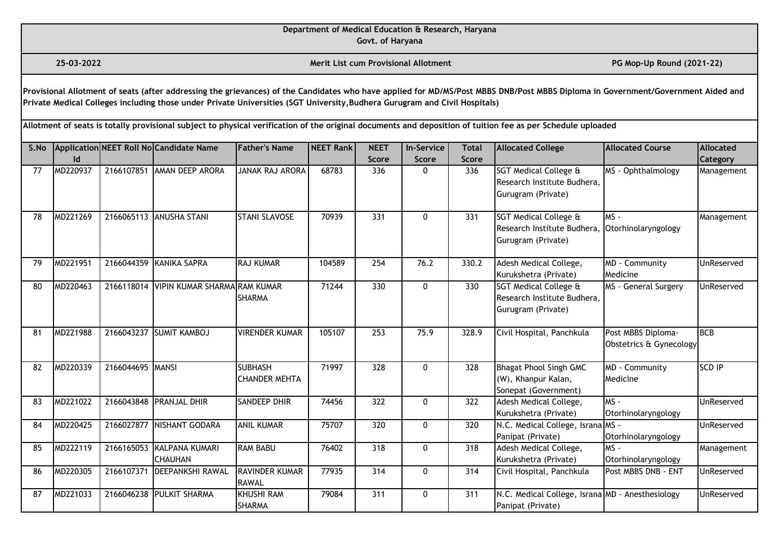**Govt. of Haryana**

**25-03-2022 Merit List cum Provisional Allotment PG Mop-Up Round (2021-22)** 

**Provisional Allotment of seats (after addressing the grievances) of the Candidates who have applied for MD/MS/Post MBBS DNB/Post MBBS Diploma in Government/Government Aided and Private Medical Colleges including those under Private Universities (SGT University,Budhera Gurugram and Civil Hospitals)** 

| S.No |          |                  | Application NEET Roll No Candidate Name     | <b>Father's Name</b>                   | <b>NEET Rank</b> | <b>NEET</b>  | <b>In-Service</b> | <b>Total</b> | <b>Allocated College</b>                                                     | <b>Allocated Course</b>                       | <b>Allocated</b> |
|------|----------|------------------|---------------------------------------------|----------------------------------------|------------------|--------------|-------------------|--------------|------------------------------------------------------------------------------|-----------------------------------------------|------------------|
|      | ld       |                  |                                             |                                        |                  | <b>Score</b> | <b>Score</b>      | <b>Score</b> |                                                                              |                                               | Category         |
| 77   | MD220937 |                  | 2166107851 AMAN DEEP ARORA                  | <b>JANAK RAJ ARORA</b>                 | 68783            | 336          | 0                 | 336          | SGT Medical College &<br>Research Institute Budhera.<br>Gurugram (Private)   | MS - Ophthalmology                            | Management       |
| 78   | MD221269 |                  | 2166065113 ANUSHA STANI                     | <b>STANI SLAVOSE</b>                   | 70939            | 331          | $\mathbf{0}$      | 331          | SGT Medical College &<br>Research Institute Budhera,<br>Gurugram (Private)   | $MS -$<br>Otorhinolaryngology                 | Management       |
| 79   | MD221951 |                  | 2166044359 KANIKA SAPRA                     | <b>RAJ KUMAR</b>                       | 104589           | 254          | 76.2              | 330.2        | Adesh Medical College,<br>Kurukshetra (Private)                              | MD - Community<br>Medicine                    | UnReserved       |
| 80   | MD220463 | 2166118014       | VIPIN KUMAR SHARMA RAM KUMAR                | <b>SHARMA</b>                          | 71244            | 330          | 0                 | 330          | SGT Medical College &<br>Research Institute Budhera,<br>Gurugram (Private)   | MS - General Surgery                          | UnReserved       |
| 81   | MD221988 | 2166043237       | <b>SUMIT KAMBOJ</b>                         | <b>VIRENDER KUMAR</b>                  | 105107           | 253          | 75.9              | 328.9        | Civil Hospital, Panchkula                                                    | Post MBBS Diploma-<br>Obstetrics & Gynecology | <b>BCB</b>       |
| 82   | MD220339 | 2166044695 MANSI |                                             | <b>SUBHASH</b><br><b>CHANDER MEHTA</b> | 71997            | 328          | $\mathbf{0}$      | 328          | <b>Bhagat Phool Singh GMC</b><br>(W), Khanpur Kalan,<br>Sonepat (Government) | MD - Community<br>Medicine                    | <b>SCD IP</b>    |
| 83   | MD221022 | 2166043848       | <b>PRANJAL DHIR</b>                         | <b>SANDEEP DHIR</b>                    | 74456            | 322          | 0                 | 322          | Adesh Medical College,<br>Kurukshetra (Private)                              | MS-<br>Otorhinolaryngology                    | UnReserved       |
| 84   | MD220425 |                  | 2166027877 NISHANT GODARA                   | <b>ANIL KUMAR</b>                      | 75707            | 320          | 0                 | 320          | N.C. Medical College, Israna MS -<br>Panipat (Private)                       | Otorhinolaryngology                           | UnReserved       |
| 85   | MD222119 |                  | 2166165053 KALPANA KUMARI<br><b>CHAUHAN</b> | <b>RAM BABU</b>                        | 76402            | 318          | 0                 | 318          | Adesh Medical College,<br>Kurukshetra (Private)                              | MS-<br>Otorhinolaryngology                    | Management       |
| 86   | MD220305 | 2166107371       | <b>DEEPANKSHI RAWAL</b>                     | <b>RAVINDER KUMAR</b><br><b>RAWAL</b>  | 77935            | 314          | 0                 | 314          | Civil Hospital, Panchkula                                                    | Post MBBS DNB - ENT                           | UnReserved       |
| 87   | MD221033 |                  | 2166046238 PULKIT SHARMA                    | <b>KHUSHI RAM</b><br><b>SHARMA</b>     | 79084            | 311          | 0                 | 311          | N.C. Medical College, Israna MD - Anesthesiology<br>Panipat (Private)        |                                               | UnReserved       |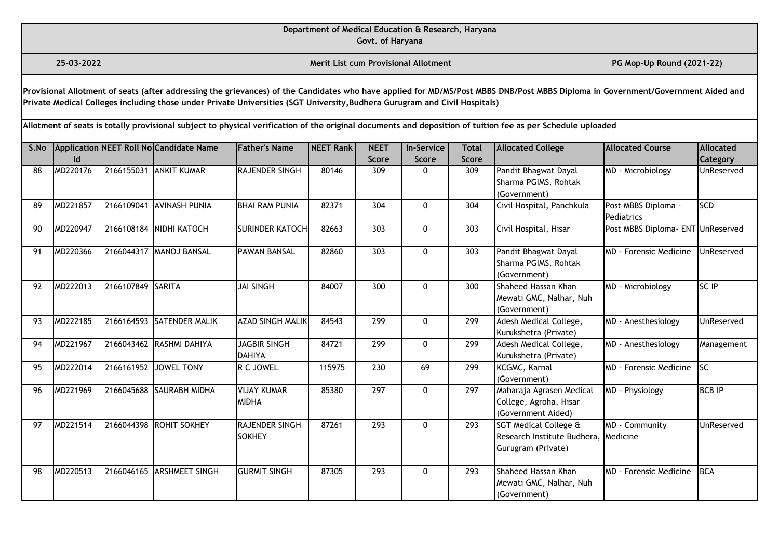**Govt. of Haryana**

**25-03-2022 Merit List cum Provisional Allotment PG Mop-Up Round (2021-22)** 

**Provisional Allotment of seats (after addressing the grievances) of the Candidates who have applied for MD/MS/Post MBBS DNB/Post MBBS Diploma in Government/Government Aided and Private Medical Colleges including those under Private Universities (SGT University,Budhera Gurugram and Civil Hospitals)** 

| S.No |          |                   | Application NEET Roll No Candidate Name | <b>Father's Name</b>                   | <b>NEET Rank</b> | <b>NEET</b>      | <b>In-Service</b> | <b>Total</b>     | <b>Allocated College</b>                                                              | Allocated Course                  | <b>Allocated</b> |
|------|----------|-------------------|-----------------------------------------|----------------------------------------|------------------|------------------|-------------------|------------------|---------------------------------------------------------------------------------------|-----------------------------------|------------------|
|      | Id       |                   |                                         |                                        |                  | <b>Score</b>     | <b>Score</b>      | <b>Score</b>     |                                                                                       |                                   | Category         |
| 88   | MD220176 |                   | 2166155031 ANKIT KUMAR                  | RAJENDER SINGH                         | 80146            | 309              | 0                 | 309              | Pandit Bhagwat Dayal                                                                  | MD - Microbiology                 | UnReserved       |
|      |          |                   |                                         |                                        |                  |                  |                   |                  | Sharma PGIMS, Rohtak                                                                  |                                   |                  |
|      |          |                   |                                         |                                        |                  |                  |                   |                  | (Government)                                                                          |                                   |                  |
| 89   | MD221857 | 2166109041        | <b>AVINASH PUNIA</b>                    | <b>BHAI RAM PUNIA</b>                  | 82371            | 304              | 0                 | 304              | Civil Hospital, Panchkula                                                             | Post MBBS Diploma -<br>Pediatrics | <b>SCD</b>       |
| 90   | MD220947 |                   | 2166108184 NIDHI KATOCH                 | <b>SURINDER KATOCH</b>                 | 82663            | 303              | 0                 | 303              | Civil Hospital, Hisar                                                                 | Post MBBS Diploma- ENT UnReserved |                  |
| 91   | MD220366 |                   | 2166044317 MANOJ BANSAL                 | <b>PAWAN BANSAL</b>                    | 82860            | 303              | $\mathbf{0}$      | 303              | Pandit Bhagwat Dayal<br>Sharma PGIMS, Rohtak<br>(Government)                          | <b>MD - Forensic Medicine</b>     | UnReserved       |
| 92   | MD222013 | 2166107849 SARITA |                                         | <b>JAI SINGH</b>                       | 84007            | 300              | $\mathbf{0}$      | 300              | Shaheed Hassan Khan<br>Mewati GMC, Nalhar, Nuh<br>(Government)                        | MD - Microbiology                 | SC IP            |
| 93   | MD222185 |                   | 2166164593 SATENDER MALIK               | <b>AZAD SINGH MALIK</b>                | 84543            | 299              | 0                 | 299              | Adesh Medical College,<br>Kurukshetra (Private)                                       | MD - Anesthesiology               | UnReserved       |
| 94   | MD221967 |                   | 2166043462 RASHMI DAHIYA                | <b>JAGBIR SINGH</b><br><b>DAHIYA</b>   | 84721            | 299              | 0                 | 299              | Adesh Medical College,<br>Kurukshetra (Private)                                       | MD - Anesthesiology               | Management       |
| 95   | MD222014 |                   | 2166161952 JOWEL TONY                   | R C JOWEL                              | 115975           | 230              | 69                | 299              | KCGMC, Karnal<br>(Government)                                                         | <b>MD</b> - Forensic Medicine     | <b>SC</b>        |
| 96   | MD221969 |                   | 2166045688 SAURABH MIDHA                | <b>VIJAY KUMAR</b><br><b>MIDHA</b>     | 85380            | 297              | $\mathbf{0}$      | $\overline{297}$ | Maharaja Agrasen Medical<br>College, Agroha, Hisar<br>(Government Aided)              | MD - Physiology                   | <b>BCB IP</b>    |
| 97   | MD221514 |                   | 2166044398 ROHIT SOKHEY                 | <b>RAJENDER SINGH</b><br><b>SOKHEY</b> | 87261            | $\overline{293}$ | $\mathbf{0}$      | 293              | <b>SGT Medical College &amp;</b><br>Research Institute Budhera,<br>Gurugram (Private) | MD - Community<br>Medicine        | UnReserved       |
| 98   | MD220513 | 2166046165        | <b>ARSHMEET SINGH</b>                   | <b>GURMIT SINGH</b>                    | 87305            | 293              | $\mathbf{0}$      | 293              | Shaheed Hassan Khan<br>Mewati GMC, Nalhar, Nuh<br>(Government)                        | <b>MD</b> - Forensic Medicine     | <b>BCA</b>       |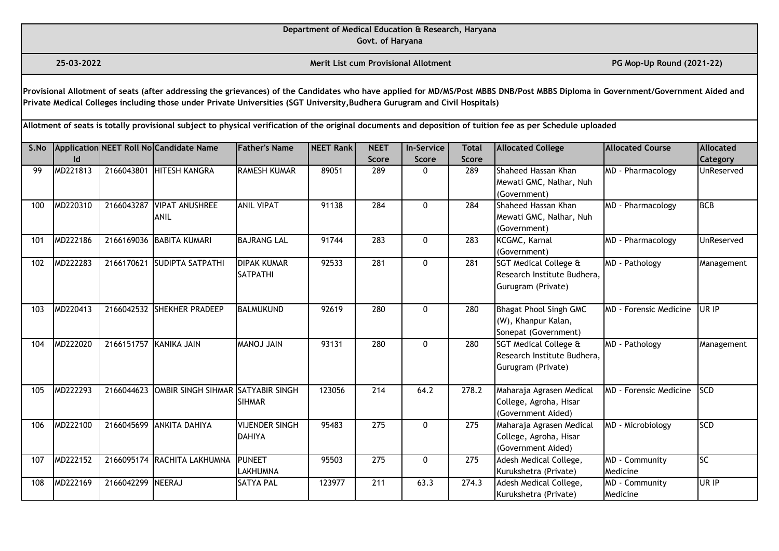**Govt. of Haryana**

**25-03-2022 Merit List cum Provisional Allotment PG Mop-Up Round (2021-22)** 

**Provisional Allotment of seats (after addressing the grievances) of the Candidates who have applied for MD/MS/Post MBBS DNB/Post MBBS Diploma in Government/Government Aided and Private Medical Colleges including those under Private Universities (SGT University,Budhera Gurugram and Civil Hospitals)** 

| S.No |          |                        | Application NEET Roll No Candidate Name      | <b>Father's Name</b>  | <b>NEET Rank</b> | <b>NEET</b>  | <b>In-Service</b> | <b>Total</b> | <b>Allocated College</b>         | <b>Allocated Course</b>        | <b>Allocated</b> |
|------|----------|------------------------|----------------------------------------------|-----------------------|------------------|--------------|-------------------|--------------|----------------------------------|--------------------------------|------------------|
|      | Id       |                        |                                              |                       |                  | <b>Score</b> | <b>Score</b>      | <b>Score</b> |                                  |                                | <b>Category</b>  |
| 99   | MD221813 |                        | 2166043801 HITESH KANGRA                     | <b>RAMESH KUMAR</b>   | 89051            | 289          | 0                 | 289          | Shaheed Hassan Khan              | MD - Pharmacology              | UnReserved       |
|      |          |                        |                                              |                       |                  |              |                   |              | Mewati GMC, Nalhar, Nuh          |                                |                  |
|      |          |                        |                                              |                       |                  |              |                   |              | (Government)                     |                                |                  |
| 100  | MD220310 | 2166043287             | <b>VIPAT ANUSHREE</b>                        | <b>ANIL VIPAT</b>     | 91138            | 284          | 0                 | 284          | Shaheed Hassan Khan              | MD - Pharmacology              | <b>BCB</b>       |
|      |          |                        | <b>ANIL</b>                                  |                       |                  |              |                   |              | Mewati GMC, Nalhar, Nuh          |                                |                  |
|      |          |                        |                                              |                       |                  |              |                   |              | (Government)                     |                                |                  |
| 101  | MD222186 |                        | 2166169036 BABITA KUMARI                     | <b>BAJRANG LAL</b>    | 91744            | 283          | 0                 | 283          | KCGMC, Karnal                    | MD - Pharmacology              | UnReserved       |
|      |          |                        |                                              |                       |                  |              |                   |              | (Government)                     |                                |                  |
| 102  | MD222283 | 2166170621             | <b>SUDIPTA SATPATHI</b>                      | <b>DIPAK KUMAR</b>    | 92533            | 281          | 0                 | 281          | <b>SGT Medical College &amp;</b> | MD - Pathology                 | Management       |
|      |          |                        |                                              | <b>SATPATHI</b>       |                  |              |                   |              | Research Institute Budhera,      |                                |                  |
|      |          |                        |                                              |                       |                  |              |                   |              | Gurugram (Private)               |                                |                  |
| 103  | MD220413 |                        | 2166042532 SHEKHER PRADEEP                   | <b>BALMUKUND</b>      | 92619            | 280          | 0                 | 280          | <b>Bhagat Phool Singh GMC</b>    | MD - Forensic Medicine         | UR IP            |
|      |          |                        |                                              |                       |                  |              |                   |              | (W), Khanpur Kalan,              |                                |                  |
|      |          |                        |                                              |                       |                  |              |                   |              | Sonepat (Government)             |                                |                  |
| 104  | MD222020 | 2166151757 KANIKA JAIN |                                              | <b>MIAL LONAM</b>     | 93131            | 280          | 0                 | 280          | <b>SGT Medical College &amp;</b> | MD - Pathology                 | Management       |
|      |          |                        |                                              |                       |                  |              |                   |              | Research Institute Budhera,      |                                |                  |
|      |          |                        |                                              |                       |                  |              |                   |              | Gurugram (Private)               |                                |                  |
|      |          |                        |                                              |                       |                  |              |                   |              |                                  |                                |                  |
| 105  | MD222293 |                        | 2166044623 OMBIR SINGH SIHMAR SATYABIR SINGH |                       | 123056           | 214          | 64.2              | 278.2        | Maharaja Agrasen Medical         | <b>IMD</b> - Forensic Medicine | <b>SCD</b>       |
|      |          |                        |                                              | <b>SIHMAR</b>         |                  |              |                   |              | College, Agroha, Hisar           |                                |                  |
|      |          |                        |                                              |                       |                  |              |                   |              | (Government Aided)               |                                | <b>SCD</b>       |
| 106  | MD222100 |                        | 2166045699 ANKITA DAHIYA                     | <b>VIJENDER SINGH</b> | 95483            | 275          | 0                 | 275          | Maharaja Agrasen Medical         | MD - Microbiology              |                  |
|      |          |                        |                                              | <b>DAHIYA</b>         |                  |              |                   |              | College, Agroha, Hisar           |                                |                  |
|      |          |                        |                                              | <b>PUNEET</b>         |                  |              |                   |              | (Government Aided)               |                                | SC               |
| 107  | MD222152 |                        | 2166095174 RACHITA LAKHUMNA                  | <b>LAKHUMNA</b>       | 95503            | 275          | 0                 | 275          | Adesh Medical College,           | MD - Community<br>Medicine     |                  |
|      |          | 2166042299 NEERAJ      |                                              |                       | 123977           |              | 63.3              | 274.3        | Kurukshetra (Private)            |                                | UR IP            |
| 108  | MD222169 |                        |                                              | <b>SATYA PAL</b>      |                  | 211          |                   |              | Adesh Medical College,           | MD - Community                 |                  |
|      |          |                        |                                              |                       |                  |              |                   |              | Kurukshetra (Private)            | Medicine                       |                  |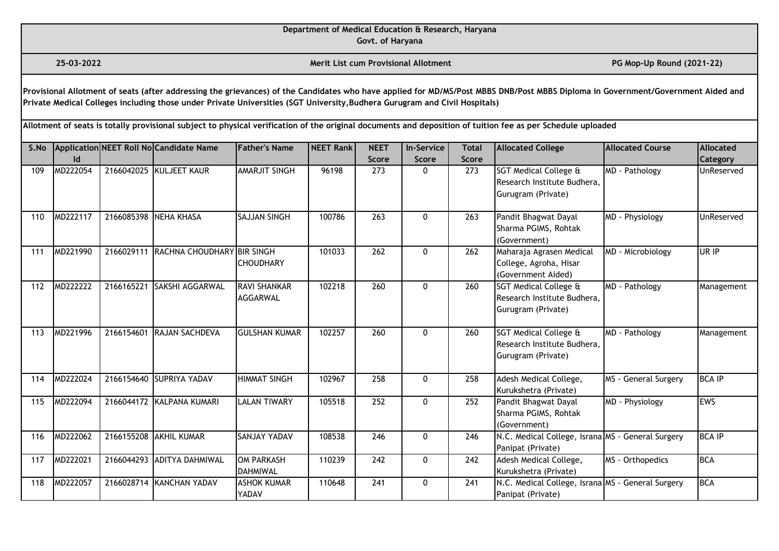**Govt. of Haryana**

**25-03-2022 Merit List cum Provisional Allotment PG Mop-Up Round (2021-22)** 

**Provisional Allotment of seats (after addressing the grievances) of the Candidates who have applied for MD/MS/Post MBBS DNB/Post MBBS Diploma in Government/Government Aided and Private Medical Colleges including those under Private Universities (SGT University,Budhera Gurugram and Civil Hospitals)** 

| S.No |          |            | Application NEET Roll No Candidate Name | <b>Father's Name</b>                 | <b>NEET Rank</b> | <b>NEET</b>  | <b>In-Service</b> | <b>Total</b> | <b>Allocated College</b>                                                              | Allocated Course     | <b>Allocated</b> |
|------|----------|------------|-----------------------------------------|--------------------------------------|------------------|--------------|-------------------|--------------|---------------------------------------------------------------------------------------|----------------------|------------------|
|      |          |            |                                         |                                      |                  | <b>Score</b> | <b>Score</b>      | <b>Score</b> |                                                                                       |                      | Category         |
| 109  | MD222054 |            | 2166042025 KULJEET KAUR                 | AMARJIT SINGH                        | 96198            | 273          | 0                 | 273          | <b>SGT Medical College &amp;</b><br>Research Institute Budhera.<br>Gurugram (Private) | MD - Pathology       | UnReserved       |
| 110  | MD222117 |            | 2166085398 NEHA KHASA                   | <b>SAJJAN SINGH</b>                  | 100786           | 263          | 0                 | 263          | Pandit Bhagwat Dayal<br>Sharma PGIMS, Rohtak<br>(Government)                          | MD - Physiology      | UnReserved       |
| 111  | MD221990 | 2166029111 | RACHNA CHOUDHARY BIR SINGH              | <b>CHOUDHARY</b>                     | 101033           | 262          | $\Omega$          | 262          | Maharaja Agrasen Medical<br>College, Agroha, Hisar<br>(Government Aided)              | MD - Microbiology    | UR IP            |
| 112  | MD222222 | 2166165221 | SAKSHI AGGARWAL                         | <b>RAVI SHANKAR</b><br>AGGARWAL      | 102218           | 260          | 0                 | 260          | <b>SGT Medical College &amp;</b><br>Research Institute Budhera,<br>Gurugram (Private) | MD - Pathology       | Management       |
| 113  | MD221996 | 2166154601 | <b>RAJAN SACHDEVA</b>                   | <b>GULSHAN KUMAR</b>                 | 102257           | 260          | $\mathbf{0}$      | 260          | <b>SGT Medical College &amp;</b><br>Research Institute Budhera,<br>Gurugram (Private) | MD - Pathology       | Management       |
| 114  | MD222024 |            | 2166154640 SUPRIYA YADAV                | <b>HIMMAT SINGH</b>                  | 102967           | 258          | 0                 | 258          | Adesh Medical College,<br>Kurukshetra (Private)                                       | MS - General Surgery | <b>BCA IP</b>    |
| 115  | MD222094 |            | 2166044172 KALPANA KUMARI               | <b>LALAN TIWARY</b>                  | 105518           | 252          | 0                 | 252          | Pandit Bhagwat Dayal<br>Sharma PGIMS, Rohtak<br>(Government)                          | MD - Physiology      | <b>EWS</b>       |
| 116  | MD222062 |            | 2166155208 AKHIL KUMAR                  | SANJAY YADAV                         | 108538           | 246          | 0                 | 246          | N.C. Medical College, Israna MS - General Surgery<br>Panipat (Private)                |                      | <b>BCA IP</b>    |
| 117  | MD222021 |            | 2166044293 ADITYA DAHMIWAL              | <b>OM PARKASH</b><br><b>DAHMIWAL</b> | 110239           | 242          | 0                 | 242          | Adesh Medical College,<br>Kurukshetra (Private)                                       | MS - Orthopedics     | <b>BCA</b>       |
| 118  | MD222057 |            | 2166028714 KANCHAN YADAV                | <b>ASHOK KUMAR</b><br>YADAV          | 110648           | 241          | 0                 | 241          | N.C. Medical College, Israna MS - General Surgery<br>Panipat (Private)                |                      | <b>BCA</b>       |